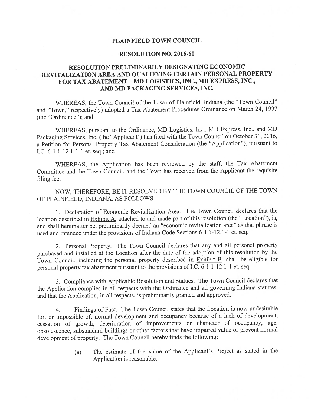### PLAINFIELD TOWN COUNCIL

## RESOLUTION NO. 2016-60

## RESOLUTION PRELIMINARILY DESIGNATING ECONOMIC REVITALIZATION AREA AND QUALIFYING CERTAIN PERSONAL PROPERTY FOR TAX ABATEMENT - MD LOGISTICS, INC., MD EXPRESS, INC., AND MD PACKAGING SERVICES, INC.

WHEREAS, the Town Council of the Town of Plainfield, Indiana (the "Town Council" and "Town," respectively) adopted <sup>a</sup> Tax Abatement Procedures Ordinance on March 24, <sup>1997</sup> (the "Ordinance"); and

WHEREAS, pursuan<sup>t</sup> to the Ordinance, MD Logistics, Inc., MD Express, Inc., and MD Packaging Services, Inc. (the "Applicant") has filed with the Town Council on October 31, 2016, <sup>a</sup> Petition for Personal Property Tax Abatement Consideration (the "Application"), pursuan<sup>t</sup> to I.C. 6-1.1-12.1-1-1 et. seq.; and

WHEREAS, the Application has been reviewed by the staff, the Tax Abatement Committee and the Town Council, and the Town has received from the Applicant the requisite filing fee.

NOW, THEREFORE, BE IT RESOLVED BY THE TOWN COUNCIL OF THE TOWN OF PLAINFIELD, INDIANA, AS FOLLOWS:

1. Declaration of Economic Revitalization Area. The Town Council declares that the location described in Exhibit A, attached to and made par<sup>t</sup> of this resolution (the "Location"), is, and shall hereinafter be, preliminarily deemed an "economic revitalization area" as that <sup>p</sup>hrase is used and intended under the provisions of Indiana Code Sections 6-1.1-12.1-1 et. seq.

2. Personal Property. The Town Council declares that any and all persona<sup>l</sup> property purchased and installed at the Location after the date of the adoption of this resolution by the Town Council, including the persona<sup>l</sup> property described in Exhibit B, shall be eligible for persona<sup>l</sup> property tax abatement pursuan<sup>t</sup> to the provisions of I.C. 6-1.1-12.1-1 et. seq.

3. Compliance with Applicable Resolution and Statues. The Town Council declares that the Application complies in all respects with the Ordinance and all governing Indiana statutes, and that the Application, in all respects, is preliminarily granted and approved.

4. Findings of Fact. The Town Council states that the Location is now undesirable for, or impossible of, normal development and occupancy because of <sup>a</sup> lack of development, cessation of growth, deterioration of improvements or character of occupancy, age, obsolescence, substandard buildings or other factors that have impaired value or preven<sup>t</sup> normal development of property. The Town Council hereby finds the following:

> (a) The estimate of the value of the Applicant's Project as stated in the Application is reasonable;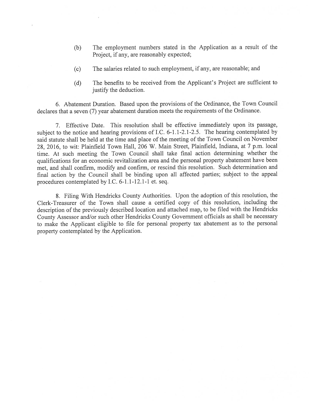- (b) The employment numbers stated in the Application as <sup>a</sup> result of the Project, if any, are reasonably expected;
- (c) The salaries related to such employment, if any, are reasonable; and
- (d) The benefits to be received from the Applicant's Project are sufficient to justify the deduction.

6. Abatement Duration. Based upon the provisions of the Ordinance, the Town Council declares that a seven (7) year abatement duration meets the requirements of the Ordinance.

7. Effective Date. This resolution shall be effective immediately upon its passage, subject to the notice and hearing provisions of I.C. 6-1.1-2.1-2.5. The hearing contemplated by said statute shall be held at the time and <sup>p</sup>lace of the meeting of the Town Council on November 28, 2016, to wit: Plainfield Town Hall, 206 W. Main Street, Plainfield, Indiana, at <sup>7</sup> p.m. local time. At such meeting the Town Council shall take final action determining whether the qualifications for an economic revitalization area and the persona<sup>l</sup> property abatement have been met, and shall confirm, modify and confirm, or rescind this resolution. Such determination and final action by the Council shall be binding upon all affected parties; subject to the appea<sup>l</sup> procedures contemplated by I.C. 6-1.1-12.1-1 et. seq.

8. Filing With Hendricks County Authorities. Upon the adoption of this resolution, the Clerk-Treasurer of the Town shall cause <sup>a</sup> certified copy of this resolution, including the description of the previously described location and attached map, to be filed with the Hendricks County Assessor and/or such other Hendricks County Government officials as shall be necessary to make the Applicant eligible to file for persona<sup>l</sup> property tax abatement as to the persona<sup>l</sup> property contemplated by the Application.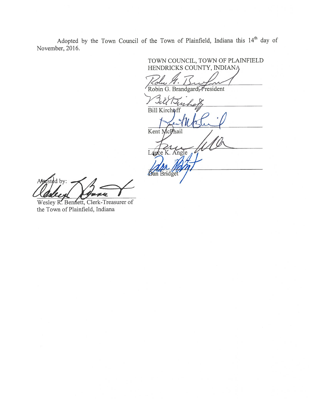Adopted by the Town Council of the Town of Plainfield, Indiana this 14<sup>th</sup> day of November, 2016.

TOWN COUNCIL, TOWN OF PLAINFIELD HENDRICKS COUNTY, INDIAN Robin G. Brandgard, President Bill Kirchoff Kent McPhail Lance K. Angle *Dan* Bridget

sted by:  $\Delta$ KU 7,

Wesley R. Bennett, Clerk-Treasurer of the Town of Plainfield, Indiana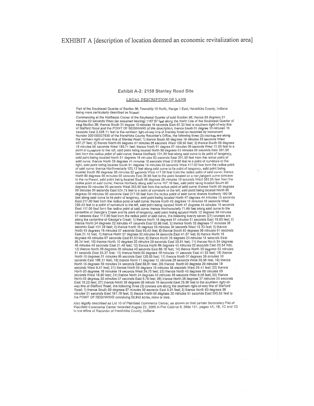### Exhibit A-2: 2150 Stanley Road Site

#### LEGAL DESCRIPTION OF LAND

Part of the Southeast Quarter of Section 36, Township 15 North, Range 1 East, Hendricks County, Indiana being more particularly described as follows:

Commencing at the Northeast Corner of the Southeast Quarter of said Soction 36; thence 68 degrees 21 minutes 02 seconds West (an assumed bearing) 1187.67 (eet along the North Line of the Southeast Quarter of<br>seld Section 38; thence South 01 degree 10 minutes 16 seconds East 67.32 (eet to southern right-of-way line of Stafford Road and the POINT OF BEGINNING of this description; thence South 01 degree 10 minutes 16 seconds East 2,528.11 feet to the northern right-of-way line of Stanley Road as recorded by Instrument<br>Number 200100027930 of the Hendricks County Recorder's Office, the following three (3) courses are along<br>the northern r 407.27 feet; 2) thence North 85 degrees 67 minutes 26 seconds West 100.60 feet; 3) thence South 86 degrees 19 minutes 55 seconds West 198.71 feet; thence North 85 degrees 19 minutes 46 seconds West 198.71 feet; thence Nort feet from the radius point of said curve; thence Northerly 131.80 feet slong said curve to its point of tangency, said point being located North 51 degrees 18 minutes 50 seconds East 201.00 feet from the radius point of sa right, said point being located South 51 degrees 18 minutes 50 seconds West 417.00 feet from the radius point of said curve; thence Northwesterly 125.13 feet along said curve to its point of tangency, said point being<br>located South 68 degrees 30 minutes 22 seconds West 417.00 feet from the radius point of said curve; thence North 90 degrees 00 minutes 00 seconds Eest 30.80 feet to the point located on a non-tangent curve concave to the northwast, said point being located South 66 degrees 29 minutes 19 seconds West 383.00 feet from the radius point of said curve; thence Northerly along said curve 157.16 feet, said point being located South 90 degre 00 minutes 00 seconds Esst 524.78 feel to a point of curvature to the felt, sald point being located North 90<br>degrees 00 minutes 00 seconds Esst 217.00 feel from the radius point of eald curve; thence Northorly 160.06<br>feel East 217.00 feet from the radius point of said curve; thence North 42 degrees 15 minutes 45 seconds West 259.43 faet to a point of curvature to the left, said point being located North 47 dagrees 44 minutes 15 seconds<br>East 117.00 feet form the radius point of said curve; thence Northwesterly 71.65 feet slong said curve to the centerline of George's Creek and its point of tangency, said point being located North 12 degrees 39 minutes 01 seconds East 117.00 feet from the radius point of said curve, the following twenty seven (27) courses are<br>along the centerline of George's Creek; 1) thance North 18 degrees 51 minutes 51 seconds East 16.93 feet; 2) thence North 24 degrees 32 minutes 47 seconds East 53.99 (ect; 3) thence North 32 degrees 17 minutes 38 seconds East 101.28 feet; 4) thence North 10 degrees 59 minutes 34 seconds West 12.33 feet; 5) thence<br>North 45 degrees 18 minutes 07 seconds East 85.43 feet; 6) thence South 83 degrees 08 minutes 51 seconds<br>East 21.12 feet degrees 48 minutes 07 seconds Cast 61.63 feet; 9) thence North 35 degrees 20 minutes 12 seconds East 56.24 feet; 10) thence North 10 degrees 20 minutes 28 seconds East 20.91 feet; 11) thence North 34 degrees<br>46 minutes 46 seconds East 21.46 feet; 12) thence North 69 degrees 43 minutes 02 seconds East 20.54 feet; 13) thence North 58 degrees 38 minutes 40 seconds East 68.16 feet; 14) thence North 35 degrees 52 minutes 51 secondo Essi 26.37 feet; 15) thence North 00 degrees 18 minutes 11 seconds Essi 41.62 feet; 16) thence North 10 degrees 51 minutes 05 seconds Essi 120.88 feet; 17) thence North 07 degrees 39 minutes 10 seconds Essi 120. North 16 degrees 59 minutes 24 seconds East 69.81 feet; 20) thence North 00 degrees 26 minutes 18 seconds West 8.47 feel; 21) thence North 09 degrees 15 ninutes 58 esconds West 29.41 feel; 22) thence<br>North 03 degrees 16 ninutes 58 esconds West 29.41 feel; 22) thence<br>North 03 degrees 16 ninutes 19 seconds West 34,70 fee North 02 degrees 33 minutes 37 seconds East 8.75 feet; 26) thence North 26 degrees 37 minutes 30 seconds East 18.23 feet; 27) thence North 38 degrees 09 minute 16 seconds East 28.36 feet to the southern right-ol-way line of Stafford Road, the following three (3) courses are along the southern right-ol-way line of Stafford Roa minutes 21 seconds East 181,19 feel; 3) thence North 88 degrees 30 minutes 51 seconds East 593,52 feet to the POINT OF BEGINNING containing 52.942 acres, more or less.

Also legally described as Lot 10 of Plainfield Commerce Center, as shown on that certain Secondary Plat of Pfainfield Commerce Center recorded August 22, 2005 in Plat Cabinet 8, Silde 151, pages 1A, 1B, 1C and 1D In the office of Recorder of Hendricks County, Indiana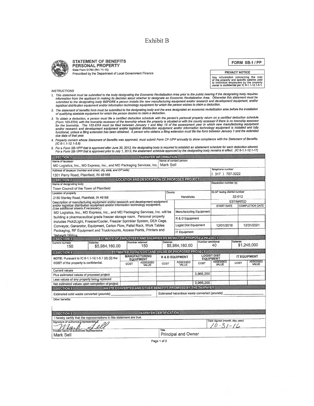# Exhibit B



#### **STATEMENT OF BENEFITS** PERSONAL PROPERTY State Form 51764 (R4 / 11-15)

Prescribed by the Department of Local Government Finance Prescribed by the Department of Local Government Finance

FORM SB-f/PP

Any information concerning the cost of the property and specific salaries paid to individuat employees by the property owner is confidential per IC 6-t.1-12.1-5.1.

INSTRUCTIONS

- ive the statement must be submitted to the body designating the Economic Revitalization Area prior to the public hearing if the designating body requires<br>Information from the applicant in making its decision about whether
- 2. The statement of benefits form must be submitted to the designating body and the area designated an economic revitalization area before the installation<br>of qualifying abatable equipment for which the person desires to c of qualifying abatable equipment for which the person desires to claim a deduction.
- 3. To obtain a deduction, a person must file a certified deduction schedule with the person's personal property return on a certified deduction schedule (Form 103-ERA) with the township assessor of the township where the p
- 4. Property owners whose Statement of Benefits was approved, must submit Form CF-I/PP annually to show compliance with the Statement of BenefIts. (IC 6-1.1-12.1-5.6)

# 5. For a Form SB-1/PP that is approved after June 30, 2013, the designating body is required to establish an abatement schedule for each deduction allowed.<br>[17-17-17-17, For a Form SB-1/PP that is approved prior to July 1,

| <b>SECTION 1</b>                                                                                                                                                      |                                                                  |                                          | <b>TAXPAYER INFORMATION</b>                                 |                                               |                                                                      |                   |                             |                          |                          |  |
|-----------------------------------------------------------------------------------------------------------------------------------------------------------------------|------------------------------------------------------------------|------------------------------------------|-------------------------------------------------------------|-----------------------------------------------|----------------------------------------------------------------------|-------------------|-----------------------------|--------------------------|--------------------------|--|
| Name of taxpayer                                                                                                                                                      |                                                                  |                                          |                                                             | Name of contact person                        |                                                                      |                   |                             |                          |                          |  |
| MD Logistics, Inc., MD Express, Inc., and MD Packaging Services, Inc. Mark Sell                                                                                       |                                                                  |                                          |                                                             |                                               |                                                                      |                   |                             |                          |                          |  |
| Address of taxpayer (number and street, city, state, and ZIP code)                                                                                                    |                                                                  |                                          |                                                             |                                               |                                                                      |                   | Telephone number            |                          |                          |  |
| 1301 Perry Road, Plainfield, IN 46168                                                                                                                                 |                                                                  |                                          |                                                             |                                               |                                                                      |                   | (317) 707-3222              |                          |                          |  |
| <b>SECTION 2</b>                                                                                                                                                      |                                                                  |                                          | LOCATION AND DESCRIPTION OF PROPOSED PROJECT                |                                               |                                                                      |                   |                             |                          |                          |  |
| Name of designating body                                                                                                                                              |                                                                  |                                          |                                                             |                                               |                                                                      |                   | Resolution number (s)       |                          |                          |  |
| Town Council of the Town of Plainfield                                                                                                                                |                                                                  |                                          |                                                             |                                               |                                                                      |                   |                             |                          |                          |  |
| Location of property                                                                                                                                                  |                                                                  |                                          |                                                             | County                                        |                                                                      |                   | DLGF taxing district number |                          |                          |  |
| 2150 Stanley Road, Plainfield, IN 46168                                                                                                                               |                                                                  |                                          |                                                             | <b>Hendricks</b>                              |                                                                      |                   | 32-012                      |                          |                          |  |
| Description of manufacturing equipment and/or research and development equipment<br>and/or logistical distribution equipment and/or information technology equipment. |                                                                  |                                          |                                                             |                                               |                                                                      |                   |                             | <b>ESTIMATED</b>         |                          |  |
| (Use additional sheets if necessary.)                                                                                                                                 |                                                                  |                                          |                                                             |                                               |                                                                      |                   | <b>START DATE</b>           |                          | <b>COMPLETION DATE</b>   |  |
| MD Logistics, Inc., MD Express, Inc., and MD Packaging Services, Inc. will be                                                                                         |                                                                  |                                          |                                                             |                                               | Manufacturing Equipment                                              |                   |                             |                          |                          |  |
| building a pharmaceutical grade freezer storage room. Personal property                                                                                               |                                                                  |                                          |                                                             |                                               | R & D Equipment                                                      |                   |                             |                          |                          |  |
| includes Pick2Light, Freezer/Cooler, Freezer Sprinkler System, DEA Cage,<br>Conveyor, Generator, Equipment, Carton Flow, Pallet Rack, Work Tables                     |                                                                  |                                          |                                                             |                                               | Logist Dist Equipment                                                |                   |                             | 12/31/2021<br>12/01/2016 |                          |  |
| Packaging, RF Equipment and Truckmounts, Access Points, Printers and                                                                                                  |                                                                  |                                          |                                                             |                                               |                                                                      |                   |                             |                          |                          |  |
| IT Equipment<br>Network Wiring.                                                                                                                                       |                                                                  |                                          |                                                             |                                               |                                                                      |                   |                             |                          |                          |  |
| <b>SECTION 3</b>                                                                                                                                                      | ESTIMATE OF EMPLOYEES AND SALARIES AS RESULT OF PROPOSED PROJECT |                                          |                                                             |                                               |                                                                      |                   |                             |                          |                          |  |
| <b>Salaries</b><br>Current number                                                                                                                                     |                                                                  |                                          | <b>Salaries</b><br>Number retained                          |                                               |                                                                      | Number additional |                             | <b>Salaries</b>          | \$1,248,000              |  |
| 150                                                                                                                                                                   | \$5,984,160.00                                                   |                                          | 150                                                         |                                               | \$5,984,160.00                                                       |                   | 40                          |                          |                          |  |
| SECTION <sub>4</sub>                                                                                                                                                  |                                                                  |                                          | ESTIMATED TOTAL COST AND VALUE OF PROPOSED PROJECT          |                                               |                                                                      |                   |                             |                          |                          |  |
| NOTE: Pursuant to IC 6-1.1-12.1-5.1 (d) (2) the<br>COST of the property is confidential.                                                                              |                                                                  | <b>MANUFACTURING</b><br><b>EQUIPMENT</b> |                                                             |                                               | <b>LOGIST DIST</b><br><b>R &amp; D EQUIPMENT</b><br><b>EQUIPMENT</b> |                   |                             |                          | <b>IT EQUIPMENT</b>      |  |
|                                                                                                                                                                       |                                                                  | COST                                     | <b>ASSESSED</b><br>VALUE                                    | COST                                          | <b>ASSESSED</b><br>VALUE                                             | COST              | <b>ASSESSED</b><br>VALUE    | COST                     | <b>ASSESSED</b><br>VALUE |  |
| Current values                                                                                                                                                        |                                                                  |                                          |                                                             |                                               |                                                                      |                   |                             |                          |                          |  |
| Plus estimated values of proposed project                                                                                                                             |                                                                  |                                          |                                                             |                                               |                                                                      | 3.966.200         |                             |                          |                          |  |
| Less values of any property being replaced                                                                                                                            |                                                                  |                                          |                                                             |                                               |                                                                      |                   |                             |                          |                          |  |
| Net estimated values upon completion of project                                                                                                                       |                                                                  |                                          |                                                             |                                               | 3.966.200                                                            |                   |                             |                          |                          |  |
| <b>SECTION 5</b>                                                                                                                                                      |                                                                  |                                          | WASTE CONVERTED AND OTHER BENEFITS PROMISED BY THE TAXPAYER |                                               |                                                                      |                   |                             |                          |                          |  |
| Estimated solid waste converted (pounds)                                                                                                                              |                                                                  |                                          |                                                             | Estimated hazardous waste converted (pounds)  |                                                                      |                   |                             |                          |                          |  |
| Other benefits:                                                                                                                                                       |                                                                  |                                          |                                                             |                                               |                                                                      |                   |                             |                          |                          |  |
|                                                                                                                                                                       |                                                                  |                                          |                                                             |                                               |                                                                      |                   |                             |                          |                          |  |
|                                                                                                                                                                       |                                                                  |                                          |                                                             |                                               |                                                                      |                   |                             |                          |                          |  |
| <b>SECTION 6</b>                                                                                                                                                      |                                                                  |                                          | <b>TAXPAYER CERTIFICATION</b>                               |                                               |                                                                      |                   |                             |                          |                          |  |
| I hereby certify that the representations in this statement are true.                                                                                                 |                                                                  |                                          |                                                             |                                               |                                                                      |                   |                             |                          |                          |  |
| Signature of authorize 4 representative                                                                                                                               |                                                                  |                                          |                                                             | Date signed (month, day, year)<br>$0.51 - 16$ |                                                                      |                   |                             |                          |                          |  |
| Printed name of authorized representative<br>Mark Sell                                                                                                                |                                                                  |                                          |                                                             | Title<br>Principal and Owner                  |                                                                      |                   |                             |                          |                          |  |
|                                                                                                                                                                       |                                                                  |                                          |                                                             |                                               |                                                                      |                   |                             |                          |                          |  |

Page <sup>1</sup> of 2